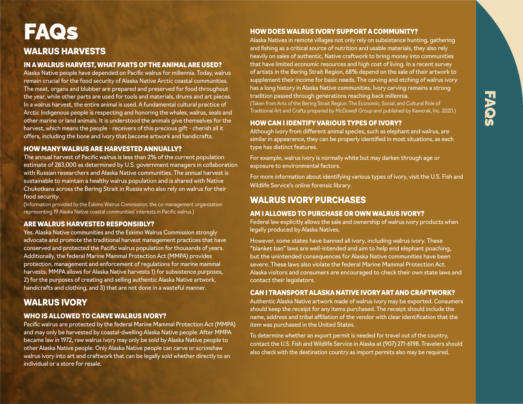# FAQ **in**

# WALRUS HARVESTS **FAQS**

## IN A WALRUS HARVEST, WHAT PARTS OF THE ANIMAL ARE USED?

Alaska Native people have depended on Pacific walrus for millennia. Today, walrus remain crucial for the food security of Alaska Native Arctic coastal communities. The meat, organs and blubber are prepared and preserved for food throughout the year, while other parts are used for tools and materials, drums and art pieces. In a walrus harvest, the entire animal is used. A fundamental cultural practice of Arctic Indigenous people is respecting and honoring the whales, walrus, seals and other marine or land animals. It is understood the animals give themselves for the harvest, which means the people - receivers of this precious gift - cherish all it offers, including the bone and ivory that become artwork and handicrafts.

## HOW MANY WALRUS ARE HARVESTED ANNUALLY?

The annual harvest of Pacific walrus is less than 2% of the current population estimate of 283,000 as determined by U.S. government managers in collaboration with Russian researchers and Alaska Native communities. The annual harvest is sustainable to maintain a healthy walrus population and is shared with Native Chukotkans across the Bering Strait in Russia who also rely on walrus for their food security.

(Information provided by the Eskimo Walrus Commission, the co-management organization representing 19 Alaska Native coastal communities' interests in Pacific walrus.)

## ARE WALRUS HARVESTED RESPONSIBLY?

Yes. Alaska Native communities and the Eskimo Walrus Commission strongly advocate and promote the traditional harvest management practices that have conserved and protected the Pacific walrus population for thousands of years. Additionally, the federal Marine Mammal Protection Act (MMPA) provides protection, management and enforcement of regulations for marine mammal harvests. MMPA allows for Alaska Native harvests 1) for subsistence purposes, 2) for the purposes of creating and selling authentic Alaska Native artwork, handicrafts and clothing, and 3) that are not done in a wasteful manner.

# WALRUS IVORY

## WHO IS ALLOWED TO CARVE WALRUS IVORY?

Pacific walrus are protected by the federal Marine Mammal Protection Act (MMPA) and may only be harvested by coastal-dwelling Alaska Native people. After MMPA became law in 1972, raw walrus ivory may only be sold by Alaska Native people to other Alaska Native people. Only Alaska Native people can carve or scrimshaw walrus ivory into art and craftwork that can be legally sold whether directly to an individual or a store for resale.

# HOW DOES WALRUS IVORY SUPPORTA COMMUNITY?

Alaska Natives in remote villages not only rely on subsistence hunting, gathering and fishing as a critical source of nutrition and usable materials, they also rely heavily on sales of authentic, Native craftwork to bring money into communities that have limited economic resources and high cost of living. In a recent survey of artists in the Bering Strait Region, 68% depend on the sale of their artwork to supplement their income for basic needs. The carving and etching of walrus ivory has a long history in Alaska Native communities. Ivory carving remains a strong tradition passed through generations reaching back millennia. (Taken from Arts of the Bering Strait Region: The Economic, Social, and Cultural Role of Traditional Art and Crafts prepared by McDowell Group and published by Kawerak, Inc. 2020.)

## HOWCAN I IDENTIFYVARIOUS TYPES OF IVORY?

Although ivory from different animal species, such as elephant and walrus, are similar in appearance, they can be properly identified in most situations, as each type has distinct features.

For example, walrus ivory is normally white but may darken through age or exposure to environmental factors.

For more information about identifying various types of ivory, visit the U.S. Fish and Wildlife Service's online forensic library.

# WALRUS IVORY PURCHASES

## AM I ALLOWED TO PURCHASE OR OWN WALRUS IVORY?

Federal law explicitly allows the sale and ownership of walrus ivory products when legally produced by Alaska Natives.

However, some states have banned all ivory, including walrus ivory. These "blanket ban" laws are well-intended and aim to help end elephant poaching, but the unintended consequences for Alaska Native communities have been severe. These laws also violate the federal Marine Mammal Protection Act. Alaska visitors and consumers are encouraged to check their own state laws and contact their legislators.

## CAN I TRANSPORT ALASKA NATIVE IVORY ARTAND CRAFTWORK?

Authentic Alaska Native artwork made of walrus ivory may be exported. Consumers should keep the receipt for any items purchased. The receipt should include the name, address and tribal affiliation of the vendor with clear identification that the item was purchased in the United States.

To determine whether an export permit is needed for travel out of the country, contact the U.S. Fish and Wildlife Service in Alaska at (907) 271-6198. Travelers should also check with the destination country as import permits also may be required.